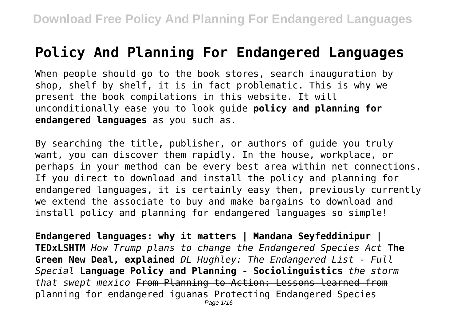## **Policy And Planning For Endangered Languages**

When people should go to the book stores, search inauguration by shop, shelf by shelf, it is in fact problematic. This is why we present the book compilations in this website. It will unconditionally ease you to look guide **policy and planning for endangered languages** as you such as.

By searching the title, publisher, or authors of guide you truly want, you can discover them rapidly. In the house, workplace, or perhaps in your method can be every best area within net connections. If you direct to download and install the policy and planning for endangered languages, it is certainly easy then, previously currently we extend the associate to buy and make bargains to download and install policy and planning for endangered languages so simple!

**Endangered languages: why it matters | Mandana Seyfeddinipur | TEDxLSHTM** *How Trump plans to change the Endangered Species Act* **The Green New Deal, explained** *DL Hughley: The Endangered List - Full Special* **Language Policy and Planning - Sociolinguistics** *the storm that swept mexico* From Planning to Action: Lessons learned from planning for endangered iguanas Protecting Endangered Species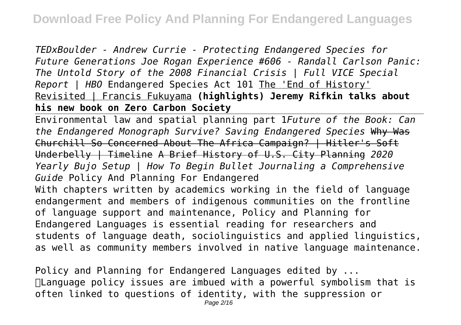*TEDxBoulder - Andrew Currie - Protecting Endangered Species for Future Generations Joe Rogan Experience #606 - Randall Carlson Panic: The Untold Story of the 2008 Financial Crisis | Full VICE Special Report | HBO* Endangered Species Act 101 The 'End of History' Revisited | Francis Fukuyama **(highlights) Jeremy Rifkin talks about his new book on Zero Carbon Society**

Environmental law and spatial planning part 1*Future of the Book: Can the Endangered Monograph Survive? Saving Endangered Species* Why Was Churchill So Concerned About The Africa Campaign? | Hitler's Soft Underbelly | Timeline A Brief History of U.S. City Planning *2020 Yearly Bujo Setup | How To Begin Bullet Journaling a Comprehensive Guide* Policy And Planning For Endangered With chapters written by academics working in the field of language endangerment and members of indigenous communities on the frontline of language support and maintenance, Policy and Planning for Endangered Languages is essential reading for researchers and students of language death, sociolinguistics and applied linguistics, as well as community members involved in native language maintenance.

Policy and Planning for Endangered Languages edited by ... Language policy issues are imbued with a powerful symbolism that is often linked to questions of identity, with the suppression or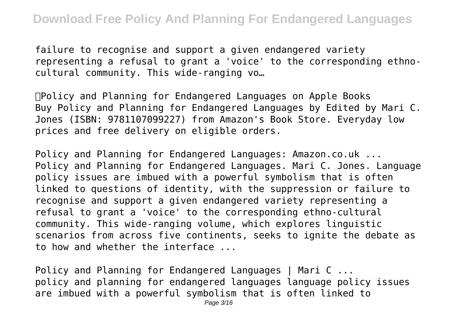failure to recognise and support a given endangered variety representing a refusal to grant a 'voice' to the corresponding ethnocultural community. This wide-ranging vo…

Policy and Planning for Endangered Languages on Apple Books Buy Policy and Planning for Endangered Languages by Edited by Mari C. Jones (ISBN: 9781107099227) from Amazon's Book Store. Everyday low prices and free delivery on eligible orders.

Policy and Planning for Endangered Languages: Amazon.co.uk ... Policy and Planning for Endangered Languages. Mari C. Jones. Language policy issues are imbued with a powerful symbolism that is often linked to questions of identity, with the suppression or failure to recognise and support a given endangered variety representing a refusal to grant a 'voice' to the corresponding ethno-cultural community. This wide-ranging volume, which explores linguistic scenarios from across five continents, seeks to ignite the debate as to how and whether the interface ...

Policy and Planning for Endangered Languages | Mari C ... policy and planning for endangered languages language policy issues are imbued with a powerful symbolism that is often linked to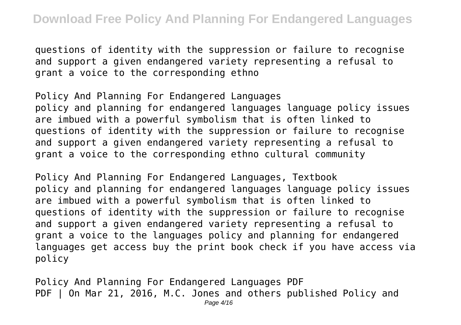questions of identity with the suppression or failure to recognise and support a given endangered variety representing a refusal to grant a voice to the corresponding ethno

Policy And Planning For Endangered Languages policy and planning for endangered languages language policy issues are imbued with a powerful symbolism that is often linked to questions of identity with the suppression or failure to recognise and support a given endangered variety representing a refusal to grant a voice to the corresponding ethno cultural community

Policy And Planning For Endangered Languages, Textbook policy and planning for endangered languages language policy issues are imbued with a powerful symbolism that is often linked to questions of identity with the suppression or failure to recognise and support a given endangered variety representing a refusal to grant a voice to the languages policy and planning for endangered languages get access buy the print book check if you have access via policy

Policy And Planning For Endangered Languages PDF PDF | On Mar 21, 2016, M.C. Jones and others published Policy and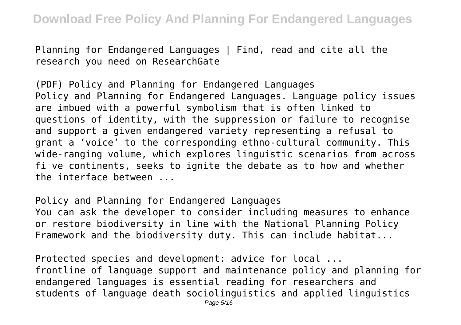Planning for Endangered Languages | Find, read and cite all the research you need on ResearchGate

(PDF) Policy and Planning for Endangered Languages Policy and Planning for Endangered Languages. Language policy issues are imbued with a powerful symbolism that is often linked to questions of identity, with the suppression or failure to recognise and support a given endangered variety representing a refusal to grant a 'voice' to the corresponding ethno-cultural community. This wide-ranging volume, which explores linguistic scenarios from across fi ve continents, seeks to ignite the debate as to how and whether the interface between ...

Policy and Planning for Endangered Languages

You can ask the developer to consider including measures to enhance or restore biodiversity in line with the National Planning Policy Framework and the biodiversity duty. This can include habitat...

Protected species and development: advice for local ... frontline of language support and maintenance policy and planning for endangered languages is essential reading for researchers and students of language death sociolinguistics and applied linguistics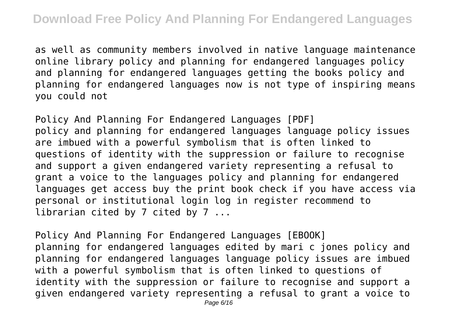as well as community members involved in native language maintenance online library policy and planning for endangered languages policy and planning for endangered languages getting the books policy and planning for endangered languages now is not type of inspiring means you could not

Policy And Planning For Endangered Languages [PDF] policy and planning for endangered languages language policy issues are imbued with a powerful symbolism that is often linked to questions of identity with the suppression or failure to recognise and support a given endangered variety representing a refusal to grant a voice to the languages policy and planning for endangered languages get access buy the print book check if you have access via personal or institutional login log in register recommend to librarian cited by 7 cited by 7 ...

Policy And Planning For Endangered Languages [EBOOK] planning for endangered languages edited by mari c jones policy and planning for endangered languages language policy issues are imbued with a powerful symbolism that is often linked to questions of identity with the suppression or failure to recognise and support a given endangered variety representing a refusal to grant a voice to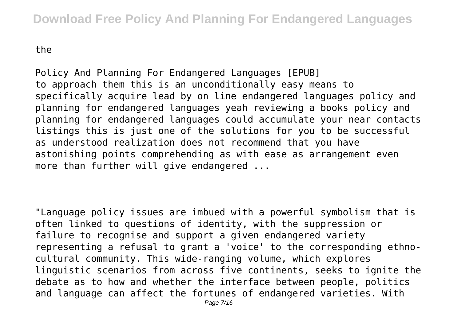the

Policy And Planning For Endangered Languages [EPUB] to approach them this is an unconditionally easy means to specifically acquire lead by on line endangered languages policy and planning for endangered languages yeah reviewing a books policy and planning for endangered languages could accumulate your near contacts listings this is just one of the solutions for you to be successful as understood realization does not recommend that you have astonishing points comprehending as with ease as arrangement even more than further will give endangered ...

"Language policy issues are imbued with a powerful symbolism that is often linked to questions of identity, with the suppression or failure to recognise and support a given endangered variety representing a refusal to grant a 'voice' to the corresponding ethnocultural community. This wide-ranging volume, which explores linguistic scenarios from across five continents, seeks to ignite the debate as to how and whether the interface between people, politics and language can affect the fortunes of endangered varieties. With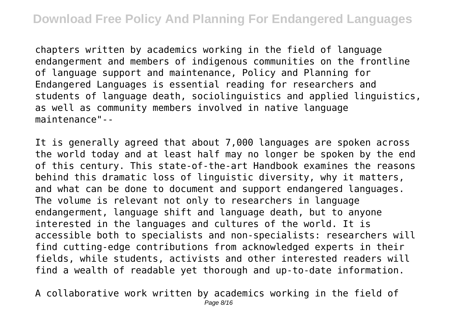chapters written by academics working in the field of language endangerment and members of indigenous communities on the frontline of language support and maintenance, Policy and Planning for Endangered Languages is essential reading for researchers and students of language death, sociolinguistics and applied linguistics, as well as community members involved in native language maintenance"--

It is generally agreed that about 7,000 languages are spoken across the world today and at least half may no longer be spoken by the end of this century. This state-of-the-art Handbook examines the reasons behind this dramatic loss of linguistic diversity, why it matters, and what can be done to document and support endangered languages. The volume is relevant not only to researchers in language endangerment, language shift and language death, but to anyone interested in the languages and cultures of the world. It is accessible both to specialists and non-specialists: researchers will find cutting-edge contributions from acknowledged experts in their fields, while students, activists and other interested readers will find a wealth of readable yet thorough and up-to-date information.

A collaborative work written by academics working in the field of Page 8/16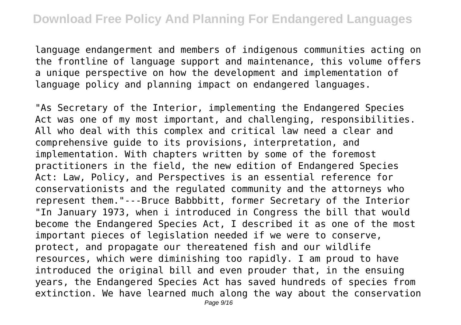language endangerment and members of indigenous communities acting on the frontline of language support and maintenance, this volume offers a unique perspective on how the development and implementation of language policy and planning impact on endangered languages.

"As Secretary of the Interior, implementing the Endangered Species Act was one of my most important, and challenging, responsibilities. All who deal with this complex and critical law need a clear and comprehensive guide to its provisions, interpretation, and implementation. With chapters written by some of the foremost practitioners in the field, the new edition of Endangered Species Act: Law, Policy, and Perspectives is an essential reference for conservationists and the regulated community and the attorneys who represent them."---Bruce Babbbitt, former Secretary of the Interior "In January 1973, when i introduced in Congress the bill that would become the Endangered Species Act, I described it as one of the most important pieces of legislation needed if we were to conserve, protect, and propagate our thereatened fish and our wildlife resources, which were diminishing too rapidly. I am proud to have introduced the original bill and even prouder that, in the ensuing years, the Endangered Species Act has saved hundreds of species from extinction. We have learned much along the way about the conservation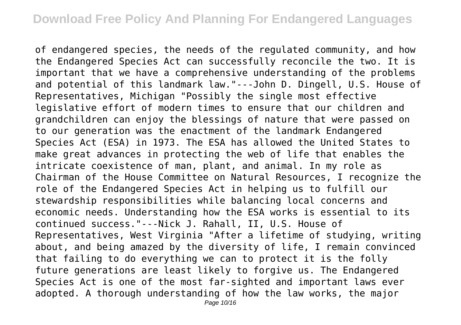of endangered species, the needs of the regulated community, and how the Endangered Species Act can successfully reconcile the two. It is important that we have a comprehensive understanding of the problems and potential of this landmark law."---John D. Dingell, U.S. House of Representatives, Michigan "Possibly the single most effective legislative effort of modern times to ensure that our children and grandchildren can enjoy the blessings of nature that were passed on to our generation was the enactment of the landmark Endangered Species Act (ESA) in 1973. The ESA has allowed the United States to make great advances in protecting the web of life that enables the intricate coexistence of man, plant, and animal. In my role as Chairman of the House Committee on Natural Resources, I recognize the role of the Endangered Species Act in helping us to fulfill our stewardship responsibilities while balancing local concerns and economic needs. Understanding how the ESA works is essential to its continued success."---Nick J. Rahall, II, U.S. House of Representatives, West Virginia "After a lifetime of studying, writing about, and being amazed by the diversity of life, I remain convinced that failing to do everything we can to protect it is the folly future generations are least likely to forgive us. The Endangered Species Act is one of the most far-sighted and important laws ever adopted. A thorough understanding of how the law works, the major Page 10/16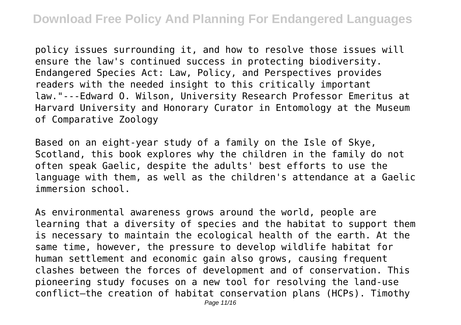policy issues surrounding it, and how to resolve those issues will ensure the law's continued success in protecting biodiversity. Endangered Species Act: Law, Policy, and Perspectives provides readers with the needed insight to this critically important law."---Edward O. Wilson, University Research Professor Emeritus at Harvard University and Honorary Curator in Entomology at the Museum of Comparative Zoology

Based on an eight-year study of a family on the Isle of Skye, Scotland, this book explores why the children in the family do not often speak Gaelic, despite the adults' best efforts to use the language with them, as well as the children's attendance at a Gaelic immersion school.

As environmental awareness grows around the world, people are learning that a diversity of species and the habitat to support them is necessary to maintain the ecological health of the earth. At the same time, however, the pressure to develop wildlife habitat for human settlement and economic gain also grows, causing frequent clashes between the forces of development and of conservation. This pioneering study focuses on a new tool for resolving the land-use conflict—the creation of habitat conservation plans (HCPs). Timothy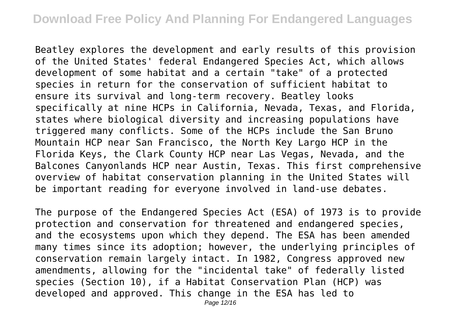Beatley explores the development and early results of this provision of the United States' federal Endangered Species Act, which allows development of some habitat and a certain "take" of a protected species in return for the conservation of sufficient habitat to ensure its survival and long-term recovery. Beatley looks specifically at nine HCPs in California, Nevada, Texas, and Florida, states where biological diversity and increasing populations have triggered many conflicts. Some of the HCPs include the San Bruno Mountain HCP near San Francisco, the North Key Largo HCP in the Florida Keys, the Clark County HCP near Las Vegas, Nevada, and the Balcones Canyonlands HCP near Austin, Texas. This first comprehensive overview of habitat conservation planning in the United States will be important reading for everyone involved in land-use debates.

The purpose of the Endangered Species Act (ESA) of 1973 is to provide protection and conservation for threatened and endangered species, and the ecosystems upon which they depend. The ESA has been amended many times since its adoption; however, the underlying principles of conservation remain largely intact. In 1982, Congress approved new amendments, allowing for the "incidental take" of federally listed species (Section 10), if a Habitat Conservation Plan (HCP) was developed and approved. This change in the ESA has led to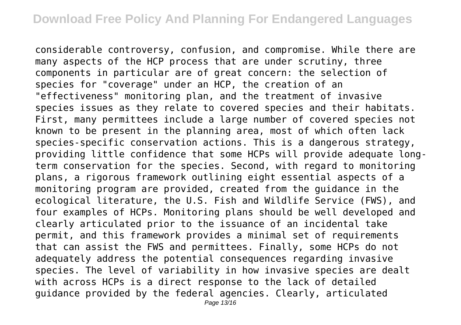considerable controversy, confusion, and compromise. While there are many aspects of the HCP process that are under scrutiny, three components in particular are of great concern: the selection of species for "coverage" under an HCP, the creation of an "effectiveness" monitoring plan, and the treatment of invasive species issues as they relate to covered species and their habitats. First, many permittees include a large number of covered species not known to be present in the planning area, most of which often lack species-specific conservation actions. This is a dangerous strategy, providing little confidence that some HCPs will provide adequate longterm conservation for the species. Second, with regard to monitoring plans, a rigorous framework outlining eight essential aspects of a monitoring program are provided, created from the guidance in the ecological literature, the U.S. Fish and Wildlife Service (FWS), and four examples of HCPs. Monitoring plans should be well developed and clearly articulated prior to the issuance of an incidental take permit, and this framework provides a minimal set of requirements that can assist the FWS and permittees. Finally, some HCPs do not adequately address the potential consequences regarding invasive species. The level of variability in how invasive species are dealt with across HCPs is a direct response to the lack of detailed guidance provided by the federal agencies. Clearly, articulated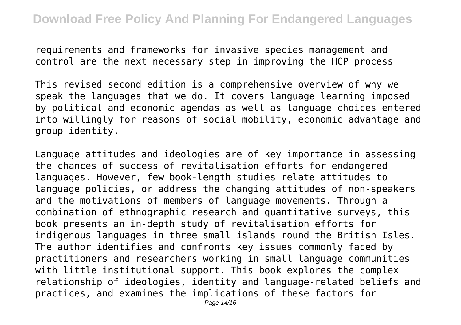requirements and frameworks for invasive species management and control are the next necessary step in improving the HCP process

This revised second edition is a comprehensive overview of why we speak the languages that we do. It covers language learning imposed by political and economic agendas as well as language choices entered into willingly for reasons of social mobility, economic advantage and group identity.

Language attitudes and ideologies are of key importance in assessing the chances of success of revitalisation efforts for endangered languages. However, few book-length studies relate attitudes to language policies, or address the changing attitudes of non-speakers and the motivations of members of language movements. Through a combination of ethnographic research and quantitative surveys, this book presents an in-depth study of revitalisation efforts for indigenous languages in three small islands round the British Isles. The author identifies and confronts key issues commonly faced by practitioners and researchers working in small language communities with little institutional support. This book explores the complex relationship of ideologies, identity and language-related beliefs and practices, and examines the implications of these factors for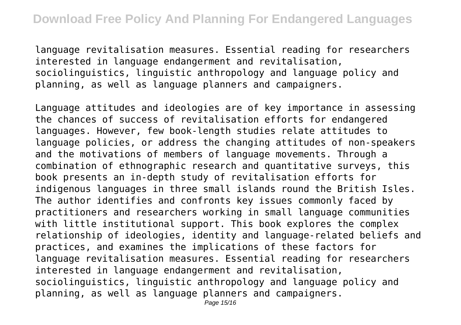language revitalisation measures. Essential reading for researchers interested in language endangerment and revitalisation, sociolinguistics, linguistic anthropology and language policy and planning, as well as language planners and campaigners.

Language attitudes and ideologies are of key importance in assessing the chances of success of revitalisation efforts for endangered languages. However, few book-length studies relate attitudes to language policies, or address the changing attitudes of non-speakers and the motivations of members of language movements. Through a combination of ethnographic research and quantitative surveys, this book presents an in-depth study of revitalisation efforts for indigenous languages in three small islands round the British Isles. The author identifies and confronts key issues commonly faced by practitioners and researchers working in small language communities with little institutional support. This book explores the complex relationship of ideologies, identity and language-related beliefs and practices, and examines the implications of these factors for language revitalisation measures. Essential reading for researchers interested in language endangerment and revitalisation, sociolinguistics, linguistic anthropology and language policy and planning, as well as language planners and campaigners.